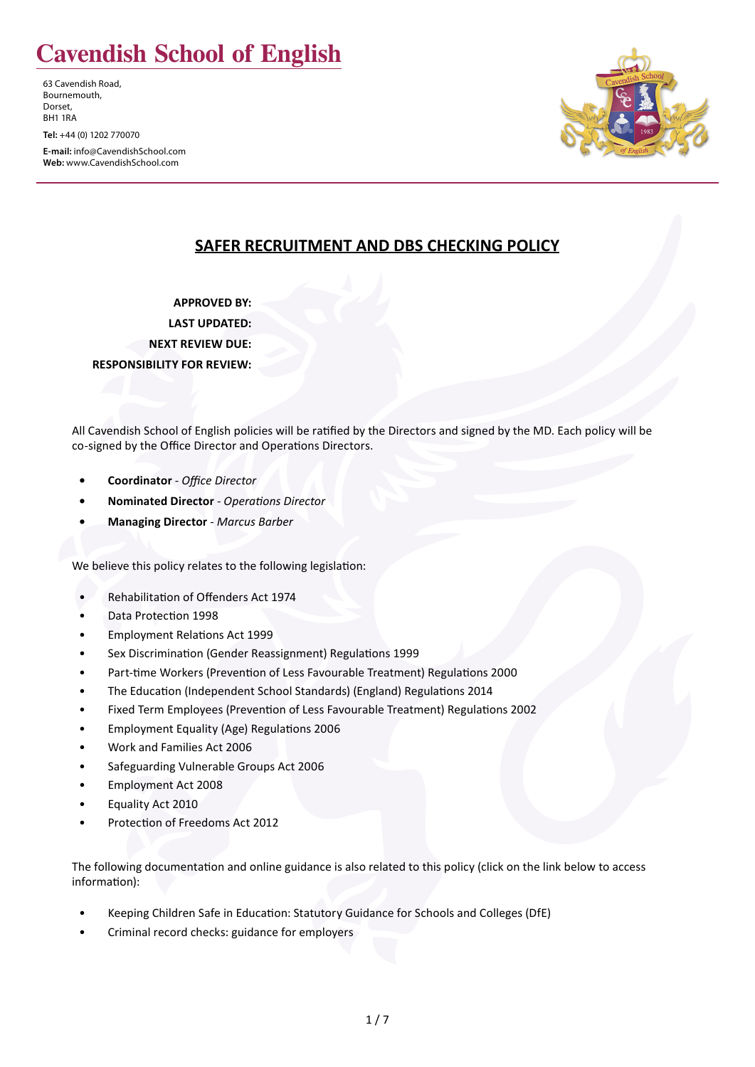# **Cavendish School of English**

63 Cavendish Road, Bournemouth, Dorset, BH1 1RA

**Tel:** +44 (0) 1202 770070

**E-mail:** info@CavendishSchool.com **Web:** www.CavendishSchool.com



## **SAFER RECRUITMENT AND DBS CHECKING POLICY**

**APPROVED BY: LAST UPDATED: NEXT REVIEW DUE: RESPONSIBILITY FOR REVIEW:**

All Cavendish School of English policies will be ratified by the Directors and signed by the MD. Each policy will be co-signed by the Office Director and Operations Directors.

- **• Coordinator** *Office Director*
- **• Nominated Director**  *Operations Director*
- **• Managing Director**  *Marcus Barber*

We believe this policy relates to the following legislation:

- Rehabilitation of Offenders Act 1974
- Data Protection 1998
- Employment Relations Act 1999
- Sex Discrimination (Gender Reassignment) Regulations 1999
- Part-time Workers (Prevention of Less Favourable Treatment) Regulations 2000
- The Education (Independent School Standards) (England) Regulations 2014
- Fixed Term Employees (Prevention of Less Favourable Treatment) Regulations 2002
- Employment Equality (Age) Regulations 2006
- Work and Families Act 2006
- Safeguarding Vulnerable Groups Act 2006
- Employment Act 2008
- Equality Act 2010
- Protection of Freedoms Act 2012

The following documentation and online guidance is also related to this policy (click on the link below to access information):

- Keeping Children Safe in Education: Statutory Guidance for Schools and Colleges (DfE)
- Criminal record checks: guidance for employers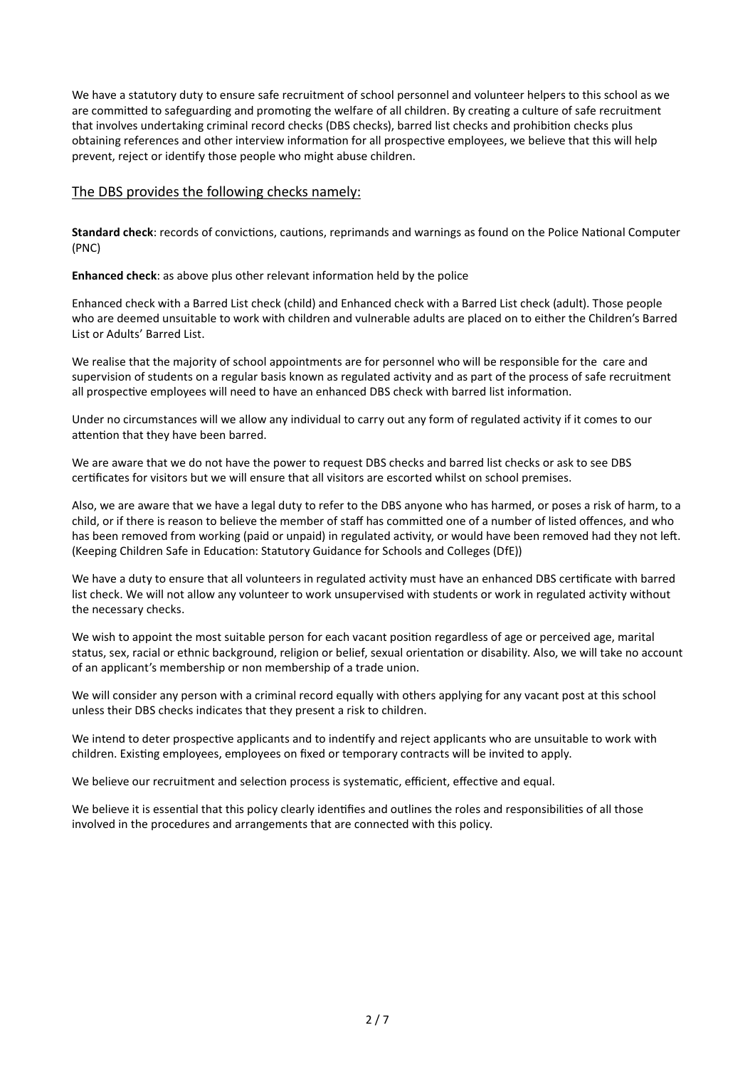We have a statutory duty to ensure safe recruitment of school personnel and volunteer helpers to this school as we are committed to safeguarding and promoting the welfare of all children. By creating a culture of safe recruitment that involves undertaking criminal record checks (DBS checks), barred list checks and prohibition checks plus obtaining references and other interview information for all prospective employees, we believe that this will help prevent, reject or identify those people who might abuse children.

#### The DBS provides the following checks namely:

**Standard check**: records of convictions, cautions, reprimands and warnings as found on the Police National Computer (PNC)

**Enhanced check**: as above plus other relevant information held by the police

Enhanced check with a Barred List check (child) and Enhanced check with a Barred List check (adult). Those people who are deemed unsuitable to work with children and vulnerable adults are placed on to either the Children's Barred List or Adults' Barred List.

We realise that the majority of school appointments are for personnel who will be responsible for the care and supervision of students on a regular basis known as regulated activity and as part of the process of safe recruitment all prospective employees will need to have an enhanced DBS check with barred list information.

Under no circumstances will we allow any individual to carry out any form of regulated activity if it comes to our attention that they have been barred.

We are aware that we do not have the power to request DBS checks and barred list checks or ask to see DBS certificates for visitors but we will ensure that all visitors are escorted whilst on school premises.

Also, we are aware that we have a legal duty to refer to the DBS anyone who has harmed, or poses a risk of harm, to a child, or if there is reason to believe the member of staff has committed one of a number of listed offences, and who has been removed from working (paid or unpaid) in regulated activity, or would have been removed had they not left. (Keeping Children Safe in Education: Statutory Guidance for Schools and Colleges (DfE))

We have a duty to ensure that all volunteers in regulated activity must have an enhanced DBS certificate with barred list check. We will not allow any volunteer to work unsupervised with students or work in regulated activity without the necessary checks.

We wish to appoint the most suitable person for each vacant position regardless of age or perceived age, marital status, sex, racial or ethnic background, religion or belief, sexual orientation or disability. Also, we will take no account of an applicant's membership or non membership of a trade union.

We will consider any person with a criminal record equally with others applying for any vacant post at this school unless their DBS checks indicates that they present a risk to children.

We intend to deter prospective applicants and to indentify and reject applicants who are unsuitable to work with children. Existing employees, employees on fixed or temporary contracts will be invited to apply.

We believe our recruitment and selection process is systematic, efficient, effective and equal.

We believe it is essential that this policy clearly identifies and outlines the roles and responsibilities of all those involved in the procedures and arrangements that are connected with this policy.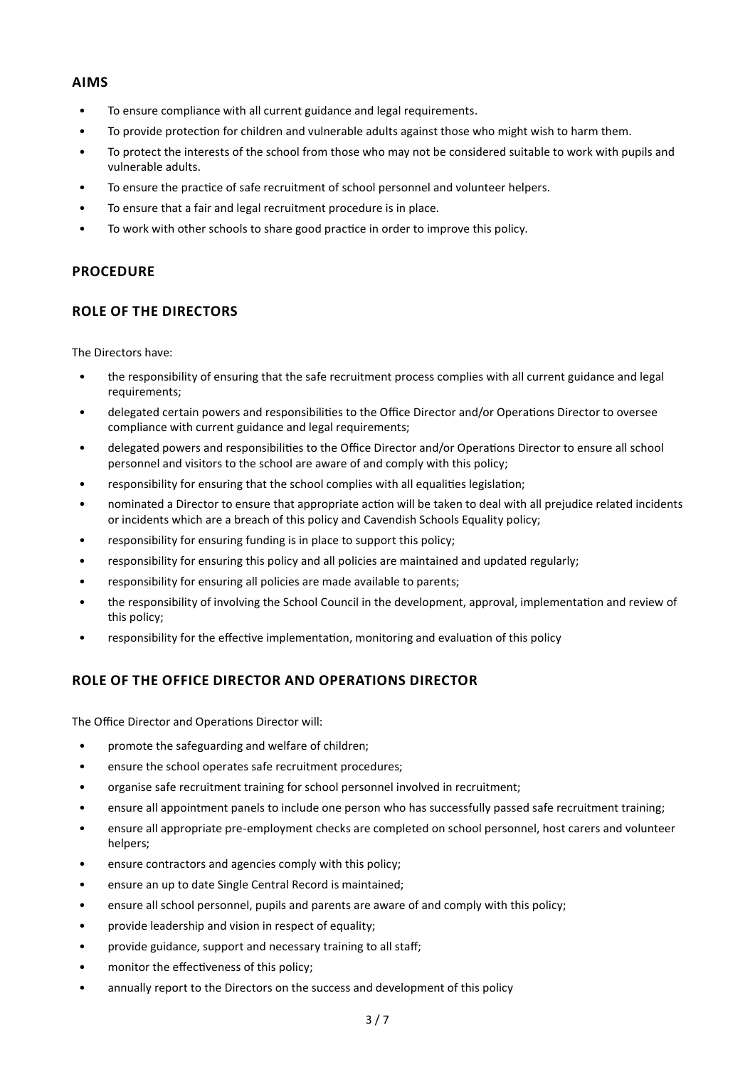#### **AIMS**

- To ensure compliance with all current guidance and legal requirements.
- To provide protection for children and vulnerable adults against those who might wish to harm them.
- To protect the interests of the school from those who may not be considered suitable to work with pupils and vulnerable adults.
- To ensure the practice of safe recruitment of school personnel and volunteer helpers.
- To ensure that a fair and legal recruitment procedure is in place.
- To work with other schools to share good practice in order to improve this policy.

## **PROCEDURE**

## **ROLE OF THE DIRECTORS**

The Directors have:

- the responsibility of ensuring that the safe recruitment process complies with all current guidance and legal requirements;
- delegated certain powers and responsibilities to the Office Director and/or Operations Director to oversee compliance with current guidance and legal requirements;
- delegated powers and responsibilities to the Office Director and/or Operations Director to ensure all school personnel and visitors to the school are aware of and comply with this policy;
- responsibility for ensuring that the school complies with all equalities legislation;
- nominated a Director to ensure that appropriate action will be taken to deal with all prejudice related incidents or incidents which are a breach of this policy and Cavendish Schools Equality policy;
- responsibility for ensuring funding is in place to support this policy;
- responsibility for ensuring this policy and all policies are maintained and updated regularly;
- responsibility for ensuring all policies are made available to parents;
- the responsibility of involving the School Council in the development, approval, implementation and review of this policy;
- responsibility for the effective implementation, monitoring and evaluation of this policy

## **ROLE OF THE OFFICE DIRECTOR AND OPERATIONS DIRECTOR**

The Office Director and Operations Director will:

- promote the safeguarding and welfare of children;
- ensure the school operates safe recruitment procedures;
- organise safe recruitment training for school personnel involved in recruitment;
- ensure all appointment panels to include one person who has successfully passed safe recruitment training;
- ensure all appropriate pre-employment checks are completed on school personnel, host carers and volunteer helpers;
- ensure contractors and agencies comply with this policy;
- ensure an up to date Single Central Record is maintained;
- ensure all school personnel, pupils and parents are aware of and comply with this policy;
- provide leadership and vision in respect of equality;
- provide guidance, support and necessary training to all staff;
- monitor the effectiveness of this policy;
- annually report to the Directors on the success and development of this policy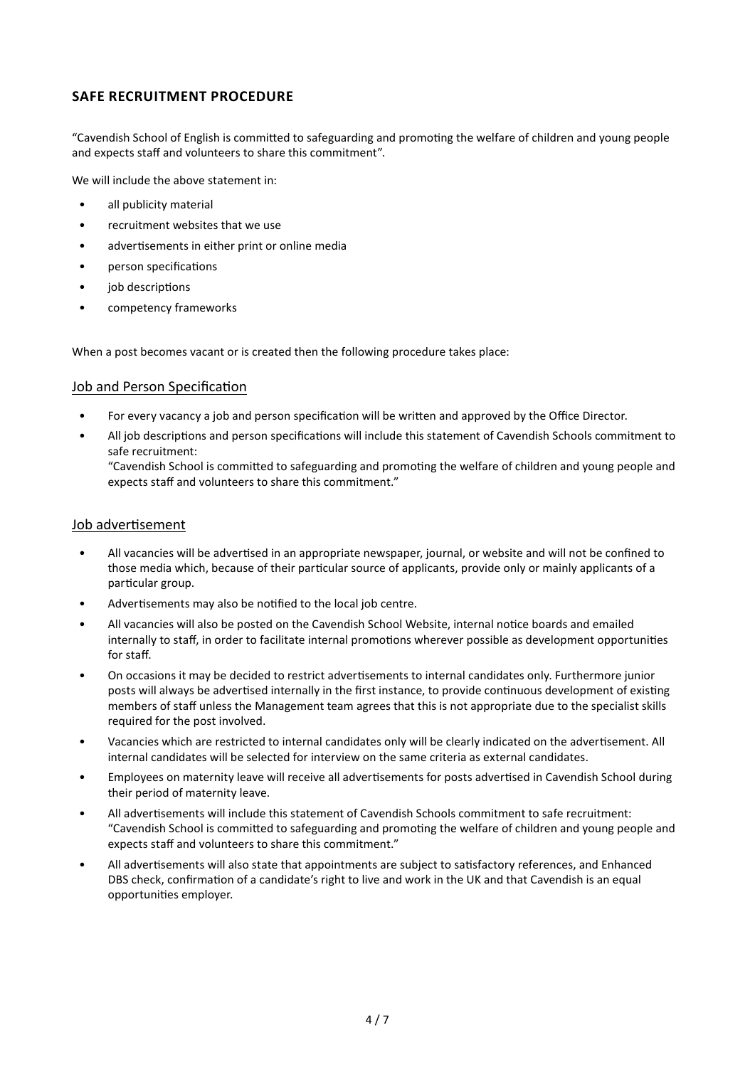## **SAFE RECRUITMENT PROCEDURE**

"Cavendish School of English is committed to safeguarding and promoting the welfare of children and young people and expects staff and volunteers to share this commitment".

We will include the above statement in:

- all publicity material
- recruitment websites that we use
- advertisements in either print or online media
- person specifications
- iob descriptions
- competency frameworks

When a post becomes vacant or is created then the following procedure takes place:

#### Job and Person Specification

- For every vacancy a job and person specification will be written and approved by the Office Director.
- All job descriptions and person specifications will include this statement of Cavendish Schools commitment to safe recruitment: "Cavendish School is committed to safeguarding and promoting the welfare of children and young people and expects staff and volunteers to share this commitment."

#### Job advertisement

- All vacancies will be advertised in an appropriate newspaper, journal, or website and will not be confined to those media which, because of their particular source of applicants, provide only or mainly applicants of a particular group.
- Advertisements may also be notified to the local job centre.
- All vacancies will also be posted on the Cavendish School Website, internal notice boards and emailed internally to staff, in order to facilitate internal promotions wherever possible as development opportunities for staff.
- On occasions it may be decided to restrict advertisements to internal candidates only. Furthermore junior posts will always be advertised internally in the first instance, to provide continuous development of existing members of staff unless the Management team agrees that this is not appropriate due to the specialist skills required for the post involved.
- Vacancies which are restricted to internal candidates only will be clearly indicated on the advertisement. All internal candidates will be selected for interview on the same criteria as external candidates.
- Employees on maternity leave will receive all advertisements for posts advertised in Cavendish School during their period of maternity leave.
- All advertisements will include this statement of Cavendish Schools commitment to safe recruitment: "Cavendish School is committed to safeguarding and promoting the welfare of children and young people and expects staff and volunteers to share this commitment."
- All advertisements will also state that appointments are subject to satisfactory references, and Enhanced DBS check, confirmation of a candidate's right to live and work in the UK and that Cavendish is an equal opportunities employer.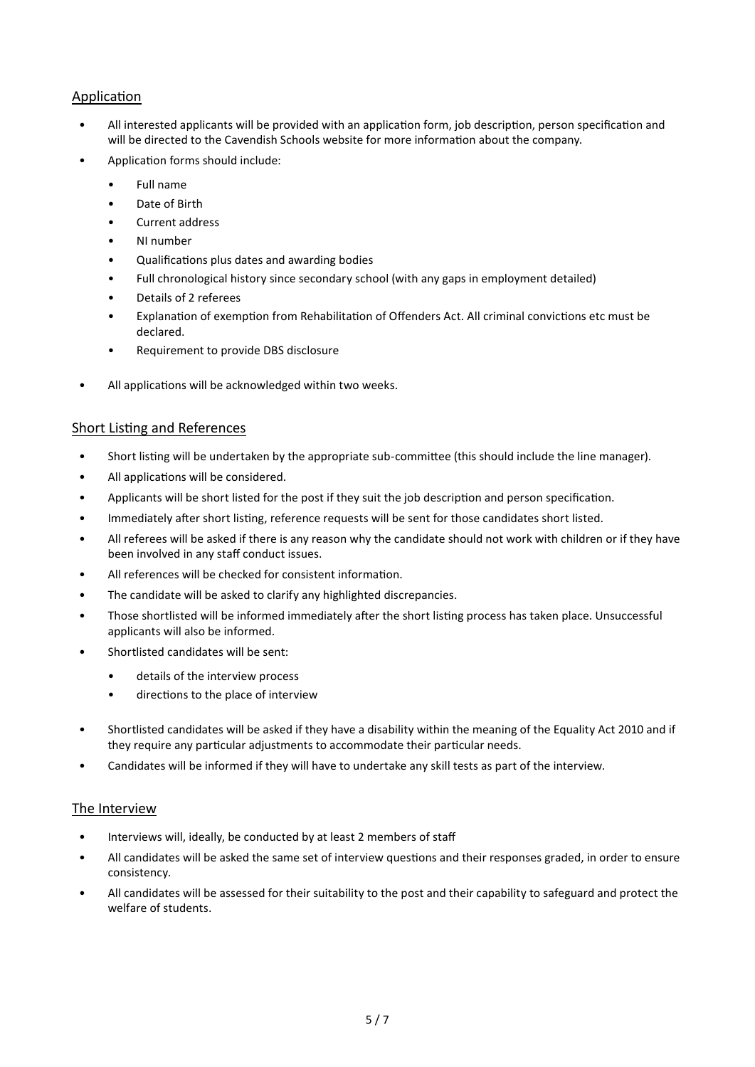## **Application**

- All interested applicants will be provided with an application form, job description, person specification and will be directed to the Cavendish Schools website for more information about the company.
- Application forms should include:
	- Full name
	- Date of Birth
	- Current address
	- NI number
	- Qualifications plus dates and awarding bodies
	- Full chronological history since secondary school (with any gaps in employment detailed)
	- Details of 2 referees
	- Explanation of exemption from Rehabilitation of Offenders Act. All criminal convictions etc must be declared.
	- Requirement to provide DBS disclosure
- All applications will be acknowledged within two weeks.

#### Short Listing and References

- Short listing will be undertaken by the appropriate sub-committee (this should include the line manager).
- All applications will be considered.
- Applicants will be short listed for the post if they suit the job description and person specification.
- Immediately after short listing, reference requests will be sent for those candidates short listed.
- All referees will be asked if there is any reason why the candidate should not work with children or if they have been involved in any staff conduct issues.
- All references will be checked for consistent information.
- The candidate will be asked to clarify any highlighted discrepancies.
- Those shortlisted will be informed immediately after the short listing process has taken place. Unsuccessful applicants will also be informed.
- Shortlisted candidates will be sent:
	- details of the interview process
	- directions to the place of interview
- Shortlisted candidates will be asked if they have a disability within the meaning of the Equality Act 2010 and if they require any particular adjustments to accommodate their particular needs.
- Candidates will be informed if they will have to undertake any skill tests as part of the interview.

#### The Interview

- Interviews will, ideally, be conducted by at least 2 members of staff
- All candidates will be asked the same set of interview questions and their responses graded, in order to ensure consistency.
- All candidates will be assessed for their suitability to the post and their capability to safeguard and protect the welfare of students.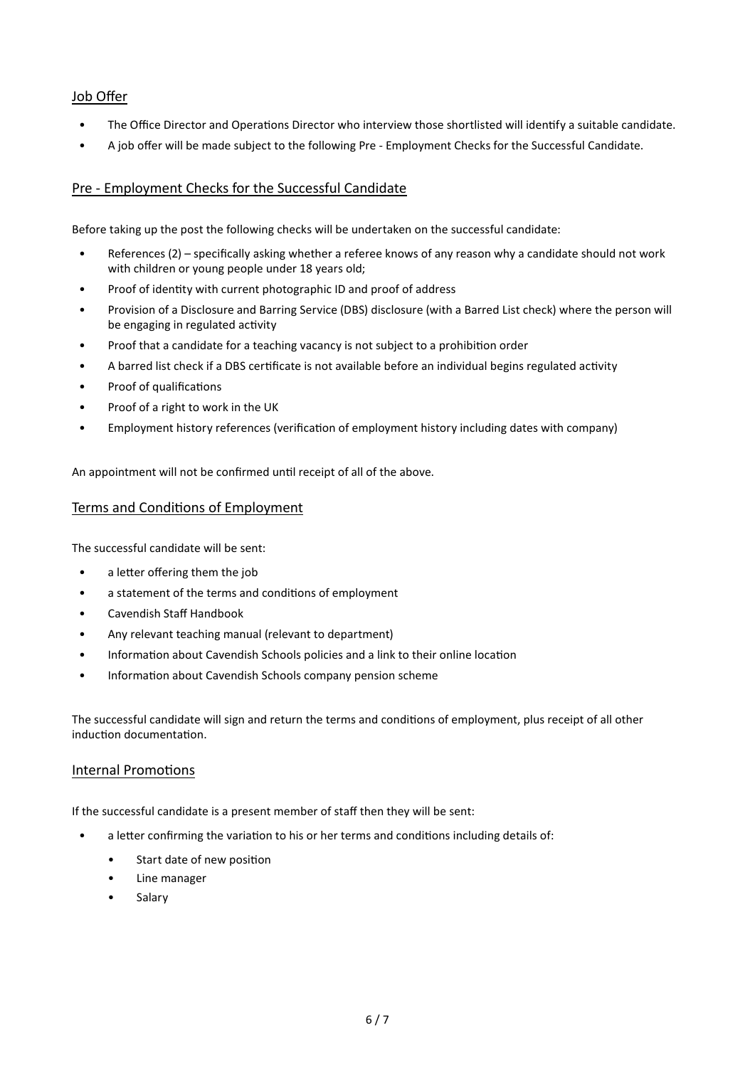## Job Offer

- The Office Director and Operations Director who interview those shortlisted will identify a suitable candidate.
- A job offer will be made subject to the following Pre Employment Checks for the Successful Candidate.

## Pre - Employment Checks for the Successful Candidate

Before taking up the post the following checks will be undertaken on the successful candidate:

- References (2) specifically asking whether a referee knows of any reason why a candidate should not work with children or young people under 18 years old;
- Proof of identity with current photographic ID and proof of address
- Provision of a Disclosure and Barring Service (DBS) disclosure (with a Barred List check) where the person will be engaging in regulated activity
- Proof that a candidate for a teaching vacancy is not subject to a prohibition order
- A barred list check if a DBS certificate is not available before an individual begins regulated activity
- Proof of qualifications
- Proof of a right to work in the UK
- Employment history references (verification of employment history including dates with company)

An appointment will not be confirmed until receipt of all of the above.

#### Terms and Conditions of Employment

The successful candidate will be sent:

- a letter offering them the job
- a statement of the terms and conditions of employment
- Cavendish Staff Handbook
- Any relevant teaching manual (relevant to department)
- Information about Cavendish Schools policies and a link to their online location
- Information about Cavendish Schools company pension scheme

The successful candidate will sign and return the terms and conditions of employment, plus receipt of all other induction documentation.

#### Internal Promotions

If the successful candidate is a present member of staff then they will be sent:

- a letter confirming the variation to his or her terms and conditions including details of:
	- Start date of new position
	- Line manager
	- **Salary**